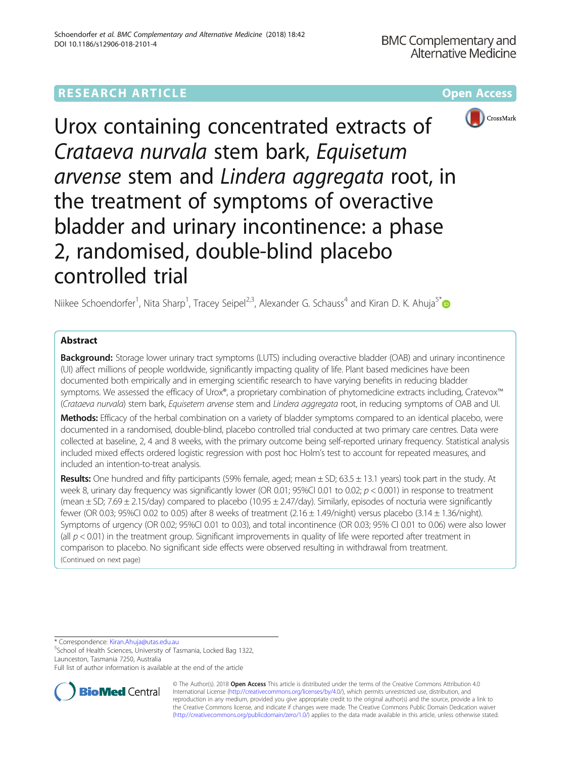# **RESEARCH ARTICLE Example 2014 12:30 The Community Community Community Community Community Community Community**



Urox containing concentrated extracts of Crataeva nurvala stem bark, Equisetum arvense stem and Lindera aggregata root, in the treatment of symptoms of overactive bladder and urinary incontinence: a phase 2, randomised, double-blind placebo controlled trial

Niikee Schoendorfer<sup>1</sup>, Nita Sharp<sup>1</sup>, Tracey Seipel<sup>2,3</sup>, Alexander G. Schauss<sup>4</sup> and Kiran D. K. Ahuja<sup>5[\\*](http://orcid.org/0000-0002-0323-4692)</sup>

## Abstract

Background: Storage lower urinary tract symptoms (LUTS) including overactive bladder (OAB) and urinary incontinence (UI) affect millions of people worldwide, significantly impacting quality of life. Plant based medicines have been documented both empirically and in emerging scientific research to have varying benefits in reducing bladder symptoms. We assessed the efficacy of Urox®, a proprietary combination of phytomedicine extracts including, Cratevox™ (Crataeva nurvala) stem bark, Equisetem arvense stem and Lindera aggregata root, in reducing symptoms of OAB and UI.

Methods: Efficacy of the herbal combination on a variety of bladder symptoms compared to an identical placebo, were documented in a randomised, double-blind, placebo controlled trial conducted at two primary care centres. Data were collected at baseline, 2, 4 and 8 weeks, with the primary outcome being self-reported urinary frequency. Statistical analysis included mixed effects ordered logistic regression with post hoc Holm's test to account for repeated measures, and included an intention-to-treat analysis.

Results: One hundred and fifty participants (59% female, aged; mean  $\pm$  SD; 63.5  $\pm$  13.1 years) took part in the study. At week 8, urinary day frequency was significantly lower (OR 0.01; 95%CI 0.01 to 0.02;  $p < 0.001$ ) in response to treatment (mean ± SD; 7.69 ± 2.15/day) compared to placebo (10.95 ± 2.47/day). Similarly, episodes of nocturia were significantly fewer (OR 0.03; 95%CI 0.02 to 0.05) after 8 weeks of treatment (2.16  $\pm$  1.49/night) versus placebo (3.14  $\pm$  1.36/night). Symptoms of urgency (OR 0.02; 95%CI 0.01 to 0.03), and total incontinence (OR 0.03; 95% CI 0.01 to 0.06) were also lower (all  $p < 0.01$ ) in the treatment group. Significant improvements in quality of life were reported after treatment in comparison to placebo. No significant side effects were observed resulting in withdrawal from treatment. (Continued on next page)

\* Correspondence: [Kiran.Ahuja@utas.edu.au](mailto:Kiran.Ahuja@utas.edu.au) <sup>5</sup>

School of Health Sciences, University of Tasmania, Locked Bag 1322, Launceston, Tasmania 7250, Australia

Full list of author information is available at the end of the article



© The Author(s). 2018 Open Access This article is distributed under the terms of the Creative Commons Attribution 4.0 International License [\(http://creativecommons.org/licenses/by/4.0/](http://creativecommons.org/licenses/by/4.0/)), which permits unrestricted use, distribution, and reproduction in any medium, provided you give appropriate credit to the original author(s) and the source, provide a link to the Creative Commons license, and indicate if changes were made. The Creative Commons Public Domain Dedication waiver [\(http://creativecommons.org/publicdomain/zero/1.0/](http://creativecommons.org/publicdomain/zero/1.0/)) applies to the data made available in this article, unless otherwise stated.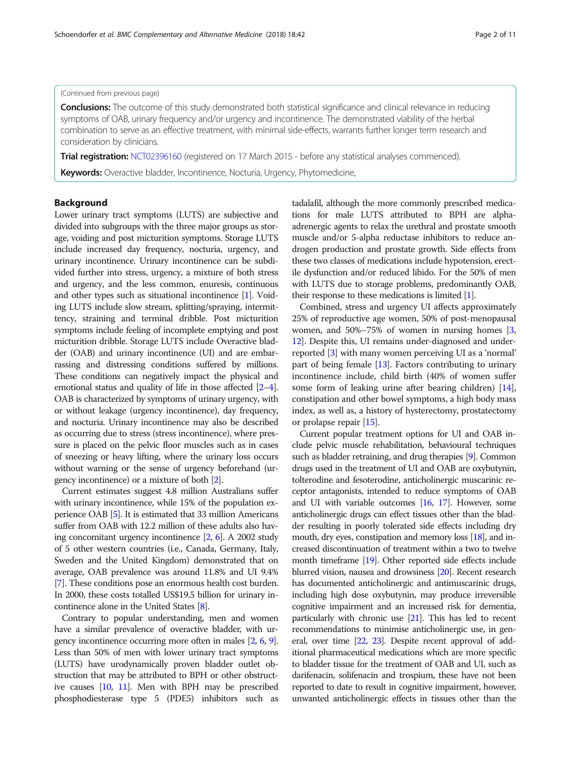## (Continued from previous page)

Conclusions: The outcome of this study demonstrated both statistical significance and clinical relevance in reducing symptoms of OAB, urinary frequency and/or urgency and incontinence. The demonstrated viability of the herbal combination to serve as an effective treatment, with minimal side-effects, warrants further longer term research and consideration by clinicians.

Trial registration: [NCT02396160](https://clinicaltrials.gov/ct2/show/NCT02396160) (registered on 17 March 2015 - before any statistical analyses commenced).

Keywords: Overactive bladder, Incontinence, Nocturia, Urgency, Phytomedicine,

## Background

Lower urinary tract symptoms (LUTS) are subjective and divided into subgroups with the three major groups as storage, voiding and post micturition symptoms. Storage LUTS include increased day frequency, nocturia, urgency, and urinary incontinence. Urinary incontinence can be subdivided further into stress, urgency, a mixture of both stress and urgency, and the less common, enuresis, continuous and other types such as situational incontinence [\[1\]](#page-9-0). Voiding LUTS include slow stream, splitting/spraying, intermittency, straining and terminal dribble. Post micturition symptoms include feeling of incomplete emptying and post micturition dribble. Storage LUTS include Overactive bladder (OAB) and urinary incontinence (UI) and are embarrassing and distressing conditions suffered by millions. These conditions can negatively impact the physical and emotional status and quality of life in those affected [\[2](#page-9-0)–[4](#page-9-0)]. OAB is characterized by symptoms of urinary urgency, with or without leakage (urgency incontinence), day frequency, and nocturia. Urinary incontinence may also be described as occurring due to stress (stress incontinence), where pressure is placed on the pelvic floor muscles such as in cases of sneezing or heavy lifting, where the urinary loss occurs without warning or the sense of urgency beforehand (urgency incontinence) or a mixture of both [\[2\]](#page-9-0).

Current estimates suggest 4.8 million Australians suffer with urinary incontinence, while 15% of the population experience OAB [\[5\]](#page-9-0). It is estimated that 33 million Americans suffer from OAB with 12.2 million of these adults also having concomitant urgency incontinence [\[2,](#page-9-0) [6](#page-9-0)]. A 2002 study of 5 other western countries (i.e., Canada, Germany, Italy, Sweden and the United Kingdom) demonstrated that on average, OAB prevalence was around 11.8% and UI 9.4% [[7](#page-9-0)]. These conditions pose an enormous health cost burden. In 2000, these costs totalled US\$19.5 billion for urinary incontinence alone in the United States [[8](#page-9-0)].

Contrary to popular understanding, men and women have a similar prevalence of overactive bladder, with urgency incontinence occurring more often in males [\[2](#page-9-0), [6,](#page-9-0) [9](#page-9-0)]. Less than 50% of men with lower urinary tract symptoms (LUTS) have urodynamically proven bladder outlet obstruction that may be attributed to BPH or other obstructive causes [[10,](#page-9-0) [11\]](#page-9-0). Men with BPH may be prescribed phosphodiesterase type 5 (PDE5) inhibitors such as tadalafil, although the more commonly prescribed medications for male LUTS attributed to BPH are alphaadrenergic agents to relax the urethral and prostate smooth muscle and/or 5-alpha reductase inhibitors to reduce androgen production and prostate growth. Side effects from these two classes of medications include hypotension, erectile dysfunction and/or reduced libido. For the 50% of men with LUTS due to storage problems, predominantly OAB, their response to these medications is limited [\[1\]](#page-9-0).

Combined, stress and urgency UI affects approximately 25% of reproductive age women, 50% of post-menopausal women, and  $50\% - 75\%$  of women in nursing homes  $[3, 3\%]$  $[3, 3\%]$  $[3, 3\%]$ [12](#page-9-0)]. Despite this, UI remains under-diagnosed and underreported [[3](#page-9-0)] with many women perceiving UI as a 'normal' part of being female [\[13\]](#page-9-0). Factors contributing to urinary incontinence include, child birth (40% of women suffer some form of leaking urine after bearing children) [[14](#page-9-0)], constipation and other bowel symptoms, a high body mass index, as well as, a history of hysterectomy, prostatectomy or prolapse repair [\[15](#page-9-0)].

Current popular treatment options for UI and OAB include pelvic muscle rehabilitation, behavioural techniques such as bladder retraining, and drug therapies [[9](#page-9-0)]. Common drugs used in the treatment of UI and OAB are oxybutynin, tolterodine and fesoterodine, anticholinergic muscarinic receptor antagonists, intended to reduce symptoms of OAB and UI with variable outcomes [\[16,](#page-9-0) [17\]](#page-9-0). However, some anticholinergic drugs can effect tissues other than the bladder resulting in poorly tolerated side effects including dry mouth, dry eyes, constipation and memory loss [[18](#page-9-0)], and increased discontinuation of treatment within a two to twelve month timeframe [\[19\]](#page-9-0). Other reported side effects include blurred vision, nausea and drowsiness [\[20](#page-9-0)]. Recent research has documented anticholinergic and antimuscarinic drugs, including high dose oxybutynin, may produce irreversible cognitive impairment and an increased risk for dementia, particularly with chronic use [\[21\]](#page-9-0). This has led to recent recommendations to minimise anticholinergic use, in general, over time [\[22,](#page-9-0) [23\]](#page-9-0). Despite recent approval of additional pharmaceutical medications which are more specific to bladder tissue for the treatment of OAB and UI, such as darifenacin, solifenacin and trospium, these have not been reported to date to result in cognitive impairment, however, unwanted anticholinergic effects in tissues other than the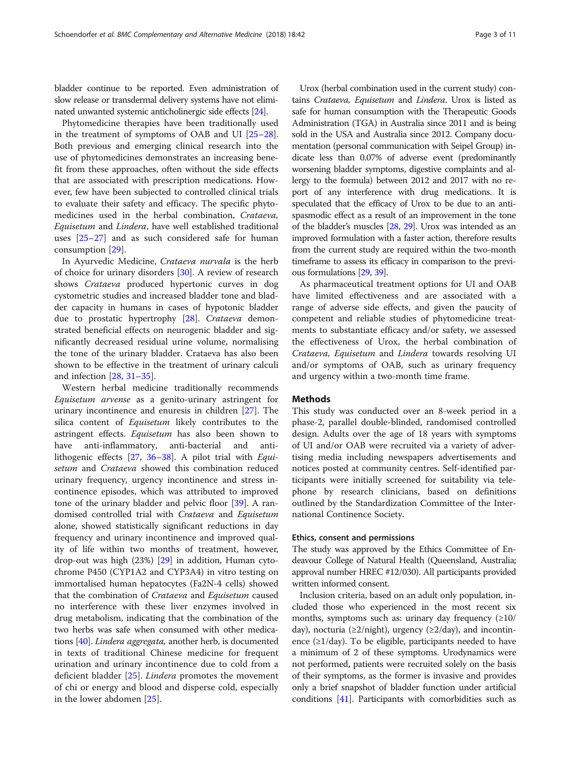bladder continue to be reported. Even administration of slow release or transdermal delivery systems have not eliminated unwanted systemic anticholinergic side effects [\[24\]](#page-9-0).

Phytomedicine therapies have been traditionally used in the treatment of symptoms of OAB and UI [[25](#page-9-0)–[28](#page-9-0)]. Both previous and emerging clinical research into the use of phytomedicines demonstrates an increasing benefit from these approaches, often without the side effects that are associated with prescription medications. However, few have been subjected to controlled clinical trials to evaluate their safety and efficacy. The specific phytomedicines used in the herbal combination, Crataeva, Equisetum and Lindera, have well established traditional uses [\[25](#page-9-0)–[27](#page-9-0)] and as such considered safe for human consumption [[29](#page-9-0)].

In Ayurvedic Medicine, Crataeva nurvala is the herb of choice for urinary disorders [[30\]](#page-9-0). A review of research shows Crataeva produced hypertonic curves in dog cystometric studies and increased bladder tone and bladder capacity in humans in cases of hypotonic bladder due to prostatic hypertrophy [\[28](#page-9-0)]. Crataeva demonstrated beneficial effects on neurogenic bladder and significantly decreased residual urine volume, normalising the tone of the urinary bladder. Crataeva has also been shown to be effective in the treatment of urinary calculi and infection [[28,](#page-9-0) [31](#page-9-0)–[35](#page-9-0)].

Western herbal medicine traditionally recommends Equisetum arvense as a genito-urinary astringent for urinary incontinence and enuresis in children [\[27](#page-9-0)]. The silica content of Equisetum likely contributes to the astringent effects. Equisetum has also been shown to have anti-inflammatory, anti-bacterial and antilithogenic effects [\[27,](#page-9-0) [36](#page-9-0)–[38\]](#page-9-0). A pilot trial with Equisetum and Crataeva showed this combination reduced urinary frequency, urgency incontinence and stress incontinence episodes, which was attributed to improved tone of the urinary bladder and pelvic floor [\[39](#page-9-0)]. A randomised controlled trial with Crataeva and Equisetum alone, showed statistically significant reductions in day frequency and urinary incontinence and improved quality of life within two months of treatment, however, drop-out was high (23%) [\[29](#page-9-0)] in addition, Human cytochrome P450 (CYP1A2 and CYP3A4) in vitro testing on immortalised human hepatocytes (Fa2N-4 cells) showed that the combination of Crataeva and Equisetum caused no interference with these liver enzymes involved in drug metabolism, indicating that the combination of the two herbs was safe when consumed with other medications [\[40\]](#page-9-0). Lindera aggregata, another herb, is documented in texts of traditional Chinese medicine for frequent urination and urinary incontinence due to cold from a deficient bladder [\[25](#page-9-0)]. Lindera promotes the movement of chi or energy and blood and disperse cold, especially in the lower abdomen [\[25](#page-9-0)].

Urox (herbal combination used in the current study) contains Crataeva, Equisetum and Lindera. Urox is listed as safe for human consumption with the Therapeutic Goods Administration (TGA) in Australia since 2011 and is being sold in the USA and Australia since 2012. Company documentation (personal communication with Seipel Group) indicate less than 0.07% of adverse event (predominantly worsening bladder symptoms, digestive complaints and allergy to the formula) between 2012 and 2017 with no report of any interference with drug medications. It is speculated that the efficacy of Urox to be due to an antispasmodic effect as a result of an improvement in the tone of the bladder's muscles [\[28,](#page-9-0) [29](#page-9-0)]. Urox was intended as an improved formulation with a faster action, therefore results from the current study are required within the two-month timeframe to assess its efficacy in comparison to the previous formulations [\[29,](#page-9-0) [39\]](#page-9-0).

As pharmaceutical treatment options for UI and OAB have limited effectiveness and are associated with a range of adverse side effects, and given the paucity of competent and reliable studies of phytomedicine treatments to substantiate efficacy and/or safety, we assessed the effectiveness of Urox, the herbal combination of Crataeva, Equisetum and Lindera towards resolving UI and/or symptoms of OAB, such as urinary frequency and urgency within a two-month time frame.

## Methods

This study was conducted over an 8-week period in a phase-2, parallel double-blinded, randomised controlled design. Adults over the age of 18 years with symptoms of UI and/or OAB were recruited via a variety of advertising media including newspapers advertisements and notices posted at community centres. Self-identified participants were initially screened for suitability via telephone by research clinicians, based on definitions outlined by the Standardization Committee of the International Continence Society.

### Ethics, consent and permissions

The study was approved by the Ethics Committee of Endeavour College of Natural Health (Queensland, Australia; approval number HREC #12/030). All participants provided written informed consent.

Inclusion criteria, based on an adult only population, included those who experienced in the most recent six months, symptoms such as: urinary day frequency  $(\geq 10/$ day), nocturia ( $\geq 2/night$ ), urgency ( $\geq 2/day$ ), and incontinence  $(\geq 1$ /day). To be eligible, participants needed to have a minimum of 2 of these symptoms. Urodynamics were not performed, patients were recruited solely on the basis of their symptoms, as the former is invasive and provides only a brief snapshot of bladder function under artificial conditions [\[41\]](#page-9-0). Participants with comorbidities such as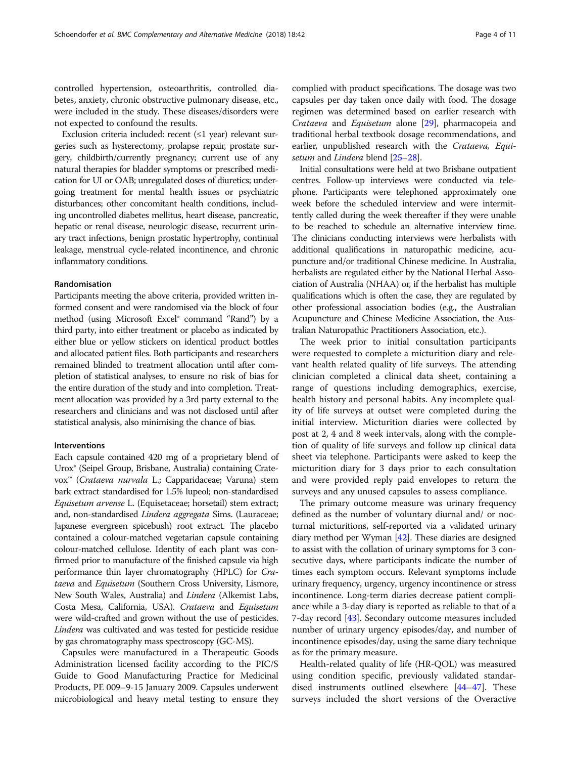controlled hypertension, osteoarthritis, controlled diabetes, anxiety, chronic obstructive pulmonary disease, etc., were included in the study. These diseases/disorders were not expected to confound the results.

Exclusion criteria included: recent (≤1 year) relevant surgeries such as hysterectomy, prolapse repair, prostate surgery, childbirth/currently pregnancy; current use of any natural therapies for bladder symptoms or prescribed medication for UI or OAB; unregulated doses of diuretics; undergoing treatment for mental health issues or psychiatric disturbances; other concomitant health conditions, including uncontrolled diabetes mellitus, heart disease, pancreatic, hepatic or renal disease, neurologic disease, recurrent urinary tract infections, benign prostatic hypertrophy, continual leakage, menstrual cycle-related incontinence, and chronic inflammatory conditions.

## Randomisation

Participants meeting the above criteria, provided written informed consent and were randomised via the block of four method (using Microsoft Excel® command "Rand") by a third party, into either treatment or placebo as indicated by either blue or yellow stickers on identical product bottles and allocated patient files. Both participants and researchers remained blinded to treatment allocation until after completion of statistical analyses, to ensure no risk of bias for the entire duration of the study and into completion. Treatment allocation was provided by a 3rd party external to the researchers and clinicians and was not disclosed until after statistical analysis, also minimising the chance of bias.

## Interventions

Each capsule contained 420 mg of a proprietary blend of Urox® (Seipel Group, Brisbane, Australia) containing Cratevox™ (Crataeva nurvala L.; Capparidaceae; Varuna) stem bark extract standardised for 1.5% lupeol; non-standardised Equisetum arvense L. (Equisetaceae; horsetail) stem extract; and, non-standardised Lindera aggregata Sims. (Lauraceae; Japanese evergreen spicebush) root extract. The placebo contained a colour-matched vegetarian capsule containing colour-matched cellulose. Identity of each plant was confirmed prior to manufacture of the finished capsule via high performance thin layer chromatography (HPLC) for Crataeva and Equisetum (Southern Cross University, Lismore, New South Wales, Australia) and Lindera (Alkemist Labs, Costa Mesa, California, USA). Crataeva and Equisetum were wild-crafted and grown without the use of pesticides. Lindera was cultivated and was tested for pesticide residue by gas chromatography mass spectroscopy (GC-MS).

Capsules were manufactured in a Therapeutic Goods Administration licensed facility according to the PIC/S Guide to Good Manufacturing Practice for Medicinal Products, PE 009–9-15 January 2009. Capsules underwent microbiological and heavy metal testing to ensure they complied with product specifications. The dosage was two capsules per day taken once daily with food. The dosage regimen was determined based on earlier research with Crataeva and Equisetum alone [[29](#page-9-0)], pharmacopeia and traditional herbal textbook dosage recommendations, and earlier, unpublished research with the Crataeva, Equi-setum and Lindera blend [\[25](#page-9-0)-[28](#page-9-0)].

Initial consultations were held at two Brisbane outpatient centres. Follow-up interviews were conducted via telephone. Participants were telephoned approximately one week before the scheduled interview and were intermittently called during the week thereafter if they were unable to be reached to schedule an alternative interview time. The clinicians conducting interviews were herbalists with additional qualifications in naturopathic medicine, acupuncture and/or traditional Chinese medicine. In Australia, herbalists are regulated either by the National Herbal Association of Australia (NHAA) or, if the herbalist has multiple qualifications which is often the case, they are regulated by other professional association bodies (e.g., the Australian Acupuncture and Chinese Medicine Association, the Australian Naturopathic Practitioners Association, etc.).

The week prior to initial consultation participants were requested to complete a micturition diary and relevant health related quality of life surveys. The attending clinician completed a clinical data sheet, containing a range of questions including demographics, exercise, health history and personal habits. Any incomplete quality of life surveys at outset were completed during the initial interview. Micturition diaries were collected by post at 2, 4 and 8 week intervals, along with the completion of quality of life surveys and follow up clinical data sheet via telephone. Participants were asked to keep the micturition diary for 3 days prior to each consultation and were provided reply paid envelopes to return the surveys and any unused capsules to assess compliance.

The primary outcome measure was urinary frequency defined as the number of voluntary diurnal and/ or nocturnal micturitions, self-reported via a validated urinary diary method per Wyman [\[42\]](#page-9-0). These diaries are designed to assist with the collation of urinary symptoms for 3 consecutive days, where participants indicate the number of times each symptom occurs. Relevant symptoms include urinary frequency, urgency, urgency incontinence or stress incontinence. Long-term diaries decrease patient compliance while a 3-day diary is reported as reliable to that of a 7-day record [\[43](#page-9-0)]. Secondary outcome measures included number of urinary urgency episodes/day, and number of incontinence episodes/day, using the same diary technique as for the primary measure.

Health-related quality of life (HR-QOL) was measured using condition specific, previously validated standardised instruments outlined elsewhere [[44](#page-9-0)–[47\]](#page-10-0). These surveys included the short versions of the Overactive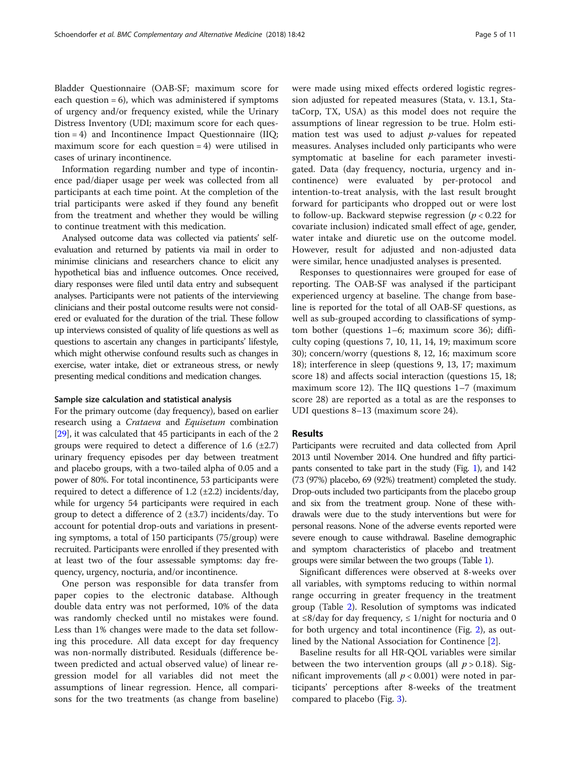Bladder Questionnaire (OAB-SF; maximum score for each question  $= 6$ ), which was administered if symptoms of urgency and/or frequency existed, while the Urinary Distress Inventory (UDI; maximum score for each question = 4) and Incontinence Impact Questionnaire (IIQ; maximum score for each question  $= 4$ ) were utilised in cases of urinary incontinence.

Information regarding number and type of incontinence pad/diaper usage per week was collected from all participants at each time point. At the completion of the trial participants were asked if they found any benefit from the treatment and whether they would be willing to continue treatment with this medication.

Analysed outcome data was collected via patients' selfevaluation and returned by patients via mail in order to minimise clinicians and researchers chance to elicit any hypothetical bias and influence outcomes. Once received, diary responses were filed until data entry and subsequent analyses. Participants were not patients of the interviewing clinicians and their postal outcome results were not considered or evaluated for the duration of the trial. These follow up interviews consisted of quality of life questions as well as questions to ascertain any changes in participants' lifestyle, which might otherwise confound results such as changes in exercise, water intake, diet or extraneous stress, or newly presenting medical conditions and medication changes.

## Sample size calculation and statistical analysis

For the primary outcome (day frequency), based on earlier research using a Crataeva and Equisetum combination [[29](#page-9-0)], it was calculated that 45 participants in each of the 2 groups were required to detect a difference of 1.6  $(\pm 2.7)$ urinary frequency episodes per day between treatment and placebo groups, with a two-tailed alpha of 0.05 and a power of 80%. For total incontinence, 53 participants were required to detect a difference of 1.2 (±2.2) incidents/day, while for urgency 54 participants were required in each group to detect a difference of 2  $(\pm 3.7)$  incidents/day. To account for potential drop-outs and variations in presenting symptoms, a total of 150 participants (75/group) were recruited. Participants were enrolled if they presented with at least two of the four assessable symptoms: day frequency, urgency, nocturia, and/or incontinence.

One person was responsible for data transfer from paper copies to the electronic database. Although double data entry was not performed, 10% of the data was randomly checked until no mistakes were found. Less than 1% changes were made to the data set following this procedure. All data except for day frequency was non-normally distributed. Residuals (difference between predicted and actual observed value) of linear regression model for all variables did not meet the assumptions of linear regression. Hence, all comparisons for the two treatments (as change from baseline) were made using mixed effects ordered logistic regression adjusted for repeated measures (Stata, v. 13.1, StataCorp, TX, USA) as this model does not require the assumptions of linear regression to be true. Holm estimation test was used to adjust  $p$ -values for repeated measures. Analyses included only participants who were symptomatic at baseline for each parameter investigated. Data (day frequency, nocturia, urgency and incontinence) were evaluated by per-protocol and intention-to-treat analysis, with the last result brought forward for participants who dropped out or were lost to follow-up. Backward stepwise regression ( $p < 0.22$  for covariate inclusion) indicated small effect of age, gender, water intake and diuretic use on the outcome model. However, result for adjusted and non-adjusted data were similar, hence unadjusted analyses is presented.

Responses to questionnaires were grouped for ease of reporting. The OAB-SF was analysed if the participant experienced urgency at baseline. The change from baseline is reported for the total of all OAB-SF questions, as well as sub-grouped according to classifications of symptom bother (questions 1–6; maximum score 36); difficulty coping (questions 7, 10, 11, 14, 19; maximum score 30); concern/worry (questions 8, 12, 16; maximum score 18); interference in sleep (questions 9, 13, 17; maximum score 18) and affects social interaction (questions 15, 18; maximum score 12). The IIQ questions 1–7 (maximum score 28) are reported as a total as are the responses to UDI questions 8–13 (maximum score 24).

## Results

Participants were recruited and data collected from April 2013 until November 2014. One hundred and fifty participants consented to take part in the study (Fig. [1\)](#page-5-0), and 142 (73 (97%) placebo, 69 (92%) treatment) completed the study. Drop-outs included two participants from the placebo group and six from the treatment group. None of these withdrawals were due to the study interventions but were for personal reasons. None of the adverse events reported were severe enough to cause withdrawal. Baseline demographic and symptom characteristics of placebo and treatment groups were similar between the two groups (Table [1\)](#page-5-0).

Significant differences were observed at 8-weeks over all variables, with symptoms reducing to within normal range occurring in greater frequency in the treatment group (Table [2](#page-6-0)). Resolution of symptoms was indicated at ≤8/day for day frequency,  $≤ 1/$ night for nocturia and 0 for both urgency and total incontinence (Fig. [2\)](#page-7-0), as outlined by the National Association for Continence [\[2\]](#page-9-0).

Baseline results for all HR-QOL variables were similar between the two intervention groups (all  $p > 0.18$ ). Significant improvements (all  $p < 0.001$ ) were noted in participants' perceptions after 8-weeks of the treatment compared to placebo (Fig. [3](#page-7-0)).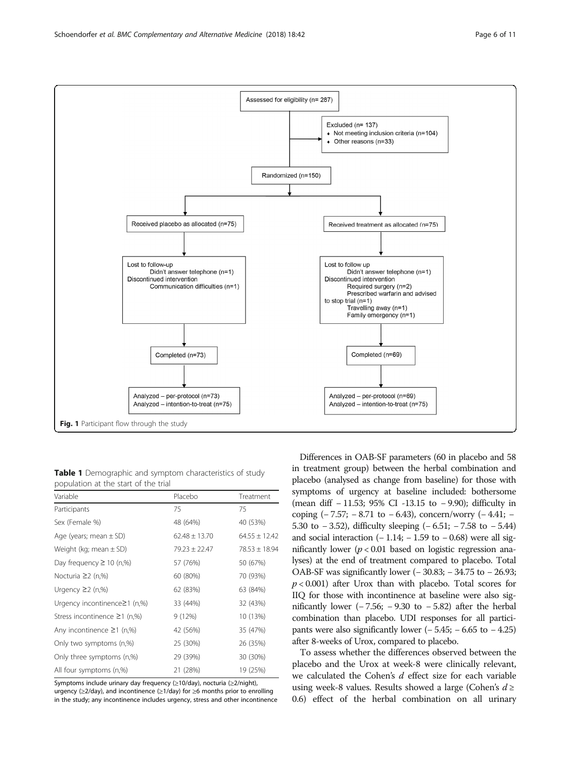population at the start of the trial Variable **Placebo Treatment** 

Table 1 Demographic and symptom characteristics of study

| Participants                       | 75                | 75                |
|------------------------------------|-------------------|-------------------|
| Sex (Female %)                     | 48 (64%)          | 40 (53%)          |
| Age (years; mean $\pm$ SD)         | $62.48 \pm 13.70$ | $64.55 \pm 12.42$ |
| Weight (kg; mean $\pm$ SD)         | $79.23 \pm 22.47$ | $78.53 \pm 18.94$ |
| Day frequency $\geq$ 10 (n,%)      | 57 (76%)          | 50 (67%)          |
| Nocturia ≥2 (n,%)                  | 60 (80%)          | 70 (93%)          |
| Urgency $\geq$ (n,%)               | 62 (83%)          | 63 (84%)          |
| Urgency incontinence≥1 (n,%)       | 33 (44%)          | 32 (43%)          |
| Stress incontinence $\geq$ 1 (n,%) | 9(12%)            | 10 (13%)          |
| Any incontinence $\geq$ 1 (n,%)    | 42 (56%)          | 35 (47%)          |
| Only two symptoms (n,%)            | 25 (30%)          | 26 (35%)          |
| Only three symptoms (n,%)          | 29 (39%)          | 30 (30%)          |
| All four symptoms (n,%)            | 21 (28%)          | 19 (25%)          |
|                                    |                   |                   |

Symptoms include urinary day frequency (≥10/day), nocturia (≥2/night), urgency (≥2/day), and incontinence (≥1/day) for ≥6 months prior to enrolling in the study; any incontinence includes urgency, stress and other incontinence

Differences in OAB-SF parameters (60 in placebo and 58 in treatment group) between the herbal combination and placebo (analysed as change from baseline) for those with symptoms of urgency at baseline included: bothersome (mean diff − 11.53; 95% CI -13.15 to − 9.90); difficulty in coping  $(-7.57; -8.71 \text{ to } -6.43)$ , concern/worry  $(-4.41; -7.57)$ 5.30 to − 3.52), difficulty sleeping (− 6.51; − 7.58 to − 5.44) and social interaction  $(-1.14; -1.59$  to  $-0.68)$  were all significantly lower ( $p < 0.01$  based on logistic regression analyses) at the end of treatment compared to placebo. Total OAB-SF was significantly lower (− 30.83; − 34.75 to − 26.93;  $p < 0.001$ ) after Urox than with placebo. Total scores for IIQ for those with incontinence at baseline were also significantly lower  $(-7.56; -9.30 \text{ to } -5.82)$  after the herbal combination than placebo. UDI responses for all participants were also significantly lower  $(-5.45; -6.65)$  to  $-4.25$ ) after 8-weeks of Urox, compared to placebo.

To assess whether the differences observed between the placebo and the Urox at week-8 were clinically relevant, we calculated the Cohen's d effect size for each variable using week-8 values. Results showed a large (Cohen's  $d \geq$ 0.6) effect of the herbal combination on all urinary

<span id="page-5-0"></span>Assessed for eligibility (n= 287)  $Fxcluded (n= 137)$ • Not meeting inclusion criteria (n=104) Other reasons (n=33) Randomized (n=150) Received placebo as allocated (n=75) Received treatment as allocated (n=75) Lost to follow-up Lost to follow up Didn't answer telephone (n=1) Didn't answer telephone (n=1) Discontinued intervention Discontinued intervention Communication difficulties (n=1) Required surgery (n=2) Prescribed warfarin and advised to stop trial  $(n=1)$ Travelling away (n=1) Family emergency (n=1) Completed (n=73) Completed (n=69) Analyzed - per-protocol (n=73) Analyzed - per-protocol (n=69) Analyzed - intention-to-treat (n=75) Analyzed - intention-to-treat (n=75) Fig. 1 Participant flow through the study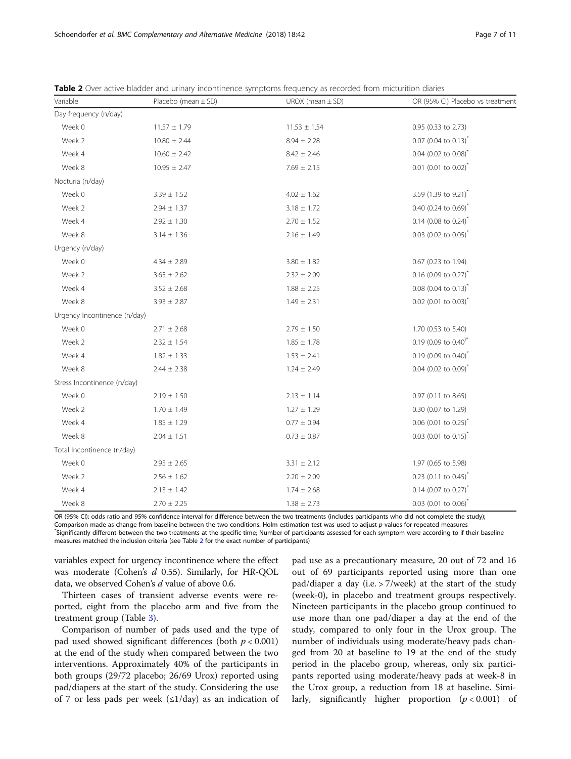| Variable                     | Placebo (mean $\pm$ SD) | $UROX$ (mean $\pm$ SD) | OR (95% CI) Placebo vs treatment   |  |
|------------------------------|-------------------------|------------------------|------------------------------------|--|
| Day frequency (n/day)        |                         |                        |                                    |  |
| Week 0                       | $11.57 \pm 1.79$        | $11.53 \pm 1.54$       | 0.95 (0.33 to 2.73)                |  |
| Week 2                       | $10.80 \pm 2.44$        | $8.94 \pm 2.28$        | $0.07$ (0.04 to 0.13) <sup>*</sup> |  |
| Week 4                       | $10.60 \pm 2.42$        | $8.42 \pm 2.46$        | $0.04$ (0.02 to 0.08) <sup>*</sup> |  |
| Week 8                       | $10.95 \pm 2.47$        | $7.69 \pm 2.15$        | $0.01$ (0.01 to 0.02) <sup>*</sup> |  |
| Nocturia (n/day)             |                         |                        |                                    |  |
| Week 0                       | $3.39 \pm 1.52$         | $4.02 \pm 1.62$        | 3.59 (1.39 to 9.21) <sup>*</sup>   |  |
| Week 2                       | $2.94 \pm 1.37$         | $3.18 \pm 1.72$        | 0.40 (0.24 to 0.69) <sup>*</sup>   |  |
| Week 4                       | $2.92 \pm 1.30$         | $2.70 \pm 1.52$        | $0.14$ (0.08 to 0.24) <sup>*</sup> |  |
| Week 8                       | $3.14 \pm 1.36$         | $2.16 \pm 1.49$        | $0.03$ (0.02 to 0.05) <sup>*</sup> |  |
| Urgency (n/day)              |                         |                        |                                    |  |
| Week 0                       | $4.34 \pm 2.89$         | $3.80 \pm 1.82$        | 0.67 (0.23 to 1.94)                |  |
| Week 2                       | $3.65 \pm 2.62$         | $2.32 \pm 2.09$        | 0.16 (0.09 to 0.27) <sup>*</sup>   |  |
| Week 4                       | $3.52 \pm 2.68$         | $1.88 \pm 2.25$        | $0.08$ (0.04 to 0.13) <sup>*</sup> |  |
| Week 8                       | $3.93 \pm 2.87$         | $1.49 \pm 2.31$        | $0.02$ (0.01 to 0.03) <sup>*</sup> |  |
| Urgency Incontinence (n/day) |                         |                        |                                    |  |
| Week 0                       | $2.71 \pm 2.68$         | $2.79 \pm 1.50$        | 1.70 (0.53 to 5.40)                |  |
| Week 2                       | $2.32 \pm 1.54$         | $1.85 \pm 1.78$        | 0.19 (0.09 to $0.40$ <sup>)*</sup> |  |
| Week 4                       | $1.82 \pm 1.33$         | $1.53 \pm 2.41$        | 0.19 (0.09 to 0.40) <sup>*</sup>   |  |
| Week 8                       | $2.44 \pm 2.38$         | $1.24 \pm 2.49$        | $0.04$ (0.02 to 0.09) <sup>*</sup> |  |
| Stress Incontinence (n/day)  |                         |                        |                                    |  |
| Week 0                       | $2.19 \pm 1.50$         | $2.13 \pm 1.14$        | 0.97 (0.11 to 8.65)                |  |
| Week 2                       | $1.70 \pm 1.49$         | $1.27 \pm 1.29$        | 0.30 (0.07 to 1.29)                |  |
| Week 4                       | $1.85 \pm 1.29$         | $0.77 \pm 0.94$        | 0.06 (0.01 to 0.25) <sup>*</sup>   |  |
| Week 8                       | $2.04 \pm 1.51$         | $0.73 \pm 0.87$        | $0.03$ (0.01 to 0.15) <sup>*</sup> |  |
| Total Incontinence (n/day)   |                         |                        |                                    |  |
| Week 0                       | $2.95 \pm 2.65$         | $3.31 \pm 2.12$        | 1.97 (0.65 to 5.98)                |  |
| Week 2                       | $2.56 \pm 1.62$         | $2.20 \pm 2.09$        | 0.23 (0.11 to 0.45) <sup>*</sup>   |  |
| Week 4                       | $2.13 \pm 1.42$         | $1.74 \pm 2.68$        | 0.14 (0.07 to 0.27) <sup>*</sup>   |  |
| Week 8                       | $2.70 \pm 2.25$         | $1.38 \pm 2.73$        | $0.03$ (0.01 to 0.06) <sup>*</sup> |  |

<span id="page-6-0"></span>Table 2 Over active bladder and urinary incontinence symptoms frequency as recorded from micturition diaries

OR (95% CI): odds ratio and 95% confidence interval for difference between the two treatments (includes participants who did not complete the study);

Comparison made as change from baseline between the two conditions. Holm estimation test was used to adiust p-values for repeated measures

Significantly different between the two treatments at the specific time; Number of participants assessed for each symptom were according to if their baseline measures matched the inclusion criteria (see Table 2 for the exact number of participants)

variables expect for urgency incontinence where the effect was moderate (Cohen's d 0.55). Similarly, for HR-QOL data, we observed Cohen's d value of above 0.6.

Thirteen cases of transient adverse events were reported, eight from the placebo arm and five from the treatment group (Table [3\)](#page-8-0).

Comparison of number of pads used and the type of pad used showed significant differences (both  $p < 0.001$ ) at the end of the study when compared between the two interventions. Approximately 40% of the participants in both groups (29/72 placebo; 26/69 Urox) reported using pad/diapers at the start of the study. Considering the use of 7 or less pads per week  $(\leq 1/\text{day})$  as an indication of

pad use as a precautionary measure, 20 out of 72 and 16 out of 69 participants reported using more than one pad/diaper a day (i.e. > 7/week) at the start of the study (week-0), in placebo and treatment groups respectively. Nineteen participants in the placebo group continued to use more than one pad/diaper a day at the end of the study, compared to only four in the Urox group. The number of individuals using moderate/heavy pads changed from 20 at baseline to 19 at the end of the study period in the placebo group, whereas, only six participants reported using moderate/heavy pads at week-8 in the Urox group, a reduction from 18 at baseline. Similarly, significantly higher proportion  $(p < 0.001)$  of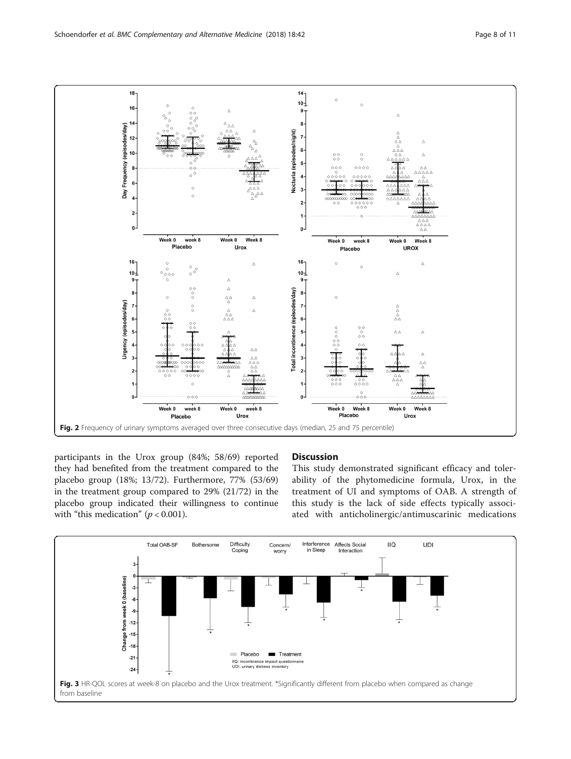<span id="page-7-0"></span>

participants in the Urox group (84%; 58/69) reported they had benefited from the treatment compared to the placebo group (18%; 13/72). Furthermore, 77% (53/69) in the treatment group compared to 29% (21/72) in the placebo group indicated their willingness to continue with "this medication" ( $p < 0.001$ ).

## **Discussion**

This study demonstrated significant efficacy and tolerability of the phytomedicine formula, Urox, in the treatment of UI and symptoms of OAB. A strength of this study is the lack of side effects typically associated with anticholinergic/antimuscarinic medications

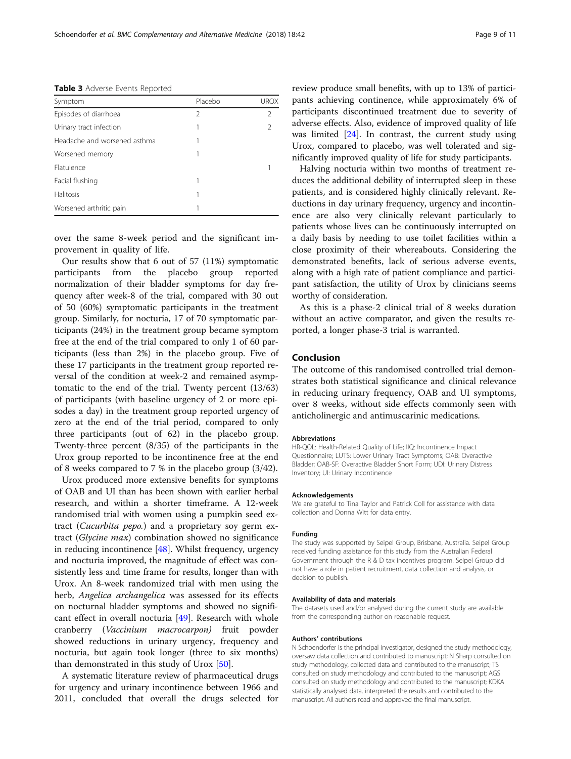<span id="page-8-0"></span>Table 3 Adverse Events Reported

| Symptom                      | Placebo       | UROX          |
|------------------------------|---------------|---------------|
| Episodes of diarrhoea        | $\mathcal{P}$ | $\mathcal{P}$ |
| Urinary tract infection      |               |               |
| Headache and worsened asthma |               |               |
| Worsened memory              |               |               |
| Flatulence                   |               |               |
| Facial flushing              |               |               |
| <b>Halitosis</b>             |               |               |
| Worsened arthritic pain      |               |               |

over the same 8-week period and the significant improvement in quality of life.

Our results show that 6 out of 57 (11%) symptomatic participants from the placebo group reported normalization of their bladder symptoms for day frequency after week-8 of the trial, compared with 30 out of 50 (60%) symptomatic participants in the treatment group. Similarly, for nocturia, 17 of 70 symptomatic participants (24%) in the treatment group became symptom free at the end of the trial compared to only 1 of 60 participants (less than 2%) in the placebo group. Five of these 17 participants in the treatment group reported reversal of the condition at week-2 and remained asymptomatic to the end of the trial. Twenty percent (13/63) of participants (with baseline urgency of 2 or more episodes a day) in the treatment group reported urgency of zero at the end of the trial period, compared to only three participants (out of 62) in the placebo group. Twenty-three percent (8/35) of the participants in the Urox group reported to be incontinence free at the end of 8 weeks compared to 7 % in the placebo group (3/42).

Urox produced more extensive benefits for symptoms of OAB and UI than has been shown with earlier herbal research, and within a shorter timeframe. A 12-week randomised trial with women using a pumpkin seed extract (Cucurbita pepo.) and a proprietary soy germ extract (Glycine max) combination showed no significance in reducing incontinence [[48\]](#page-10-0). Whilst frequency, urgency and nocturia improved, the magnitude of effect was consistently less and time frame for results, longer than with Urox. An 8-week randomized trial with men using the herb, Angelica archangelica was assessed for its effects on nocturnal bladder symptoms and showed no significant effect in overall nocturia [\[49](#page-10-0)]. Research with whole cranberry (Vaccinium macrocarpon) fruit powder showed reductions in urinary urgency, frequency and nocturia, but again took longer (three to six months) than demonstrated in this study of Urox [\[50](#page-10-0)].

A systematic literature review of pharmaceutical drugs for urgency and urinary incontinence between 1966 and 2011, concluded that overall the drugs selected for review produce small benefits, with up to 13% of participants achieving continence, while approximately 6% of participants discontinued treatment due to severity of adverse effects. Also, evidence of improved quality of life was limited [[24\]](#page-9-0). In contrast, the current study using Urox, compared to placebo, was well tolerated and significantly improved quality of life for study participants.

Halving nocturia within two months of treatment reduces the additional debility of interrupted sleep in these patients, and is considered highly clinically relevant. Reductions in day urinary frequency, urgency and incontinence are also very clinically relevant particularly to patients whose lives can be continuously interrupted on a daily basis by needing to use toilet facilities within a close proximity of their whereabouts. Considering the demonstrated benefits, lack of serious adverse events, along with a high rate of patient compliance and participant satisfaction, the utility of Urox by clinicians seems worthy of consideration.

As this is a phase-2 clinical trial of 8 weeks duration without an active comparator, and given the results reported, a longer phase-3 trial is warranted.

## Conclusion

The outcome of this randomised controlled trial demonstrates both statistical significance and clinical relevance in reducing urinary frequency, OAB and UI symptoms, over 8 weeks, without side effects commonly seen with anticholinergic and antimuscarinic medications.

#### Abbreviations

HR-QOL: Health-Related Quality of Life; IIQ: Incontinence Impact Questionnaire; LUTS: Lower Urinary Tract Symptoms; OAB: Overactive Bladder; OAB-SF: Overactive Bladder Short Form; UDI: Urinary Distress Inventory; UI: Urinary Incontinence

#### Acknowledgements

We are grateful to Tina Taylor and Patrick Coll for assistance with data collection and Donna Witt for data entry.

#### Funding

The study was supported by Seipel Group, Brisbane, Australia. Seipel Group received funding assistance for this study from the Australian Federal Government through the R & D tax incentives program. Seipel Group did not have a role in patient recruitment, data collection and analysis, or decision to publish.

#### Availability of data and materials

The datasets used and/or analysed during the current study are available from the corresponding author on reasonable request.

#### Authors' contributions

N Schoendorfer is the principal investigator, designed the study methodology, oversaw data collection and contributed to manuscript; N Sharp consulted on study methodology, collected data and contributed to the manuscript; TS consulted on study methodology and contributed to the manuscript; AGS consulted on study methodology and contributed to the manuscript; KDKA statistically analysed data, interpreted the results and contributed to the manuscript. All authors read and approved the final manuscript.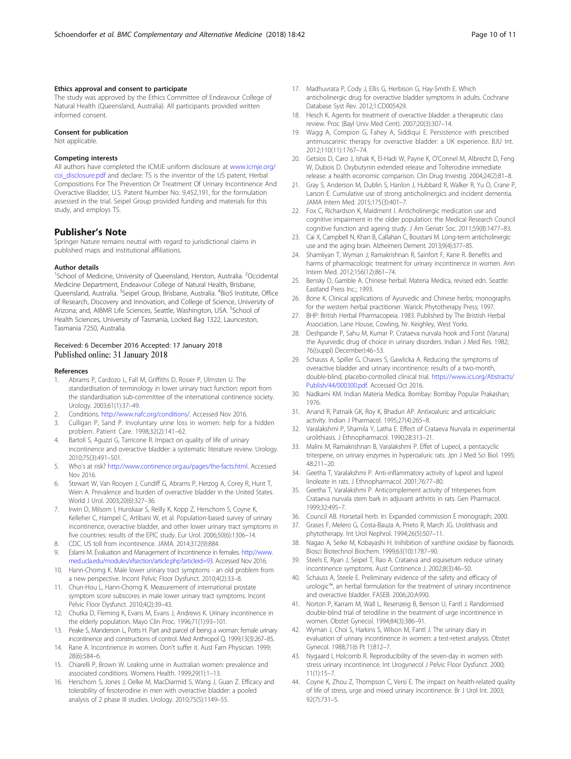## <span id="page-9-0"></span>Ethics approval and consent to participate

The study was approved by the Ethics Committee of Endeavour College of Natural Health (Queensland, Australia). All participants provided written informed consent.

### Consent for publication

Not applicable.

#### Competing interests

All authors have completed the ICMJE uniform disclosure at [www.icmje.org/](http://www.icmje.org/coi_disclosure.pdf) [coi\\_disclosure.pdf](http://www.icmje.org/coi_disclosure.pdf) and declare: TS is the inventor of the US patent, Herbal Compositions For The Prevention Or Treatment Of Urinary Incontinence And Overactive Bladder, U.S. Patent Number No. 9,452,191, for the formulation assessed in the trial. Seipel Group provided funding and materials for this study, and employs TS.

## Publisher's Note

Springer Nature remains neutral with regard to jurisdictional claims in published maps and institutional affiliations.

#### Author details

<sup>1</sup>School of Medicine, University of Queensland, Herston, Australia. <sup>2</sup>Occidental Medicine Department, Endeavour College of Natural Health, Brisbane, Queensland, Australia. <sup>3</sup>Seipel Group, Brisbane, Australia. <sup>4</sup>Bio5 Institute, Office of Research, Discovery and Innovation, and College of Science, University of Arizona; and, AIBMR Life Sciences, Seattle, Washington, USA. <sup>5</sup>School of Health Sciences, University of Tasmania, Locked Bag 1322, Launceston, Tasmania 7250, Australia.

## Received: 6 December 2016 Accepted: 17 January 2018 Published online: 31 January 2018

#### References

- 1. Abrams P, Cardozo L, Fall M, Griffiths D, Rosier P, Ulmsten U. The standardisation of terminology in lower urinary tract function: report from the standardisation sub-committee of the international continence society. Urology. 2003;61(1):37–49.
- 2. Conditions. [http://www.nafc.org/conditions/.](http://www.nafc.org/conditions/) Accessed Nov 2016.
- 3. Culligan P, Sand P. Involuntary urine loss in women: help for a hidden problem. Patient Care. 1998;32(2):141–62.
- Bartoli S, Aguzzi G, Tarricone R. Impact on quality of life of urinary incontinence and overactive bladder: a systematic literature review. Urology. 2010;75(3):491–501.
- 5. Who's at risk? <http://www.continence.org.au/pages/the-facts.html>. Accessed Nov 2016.
- 6. Stewart W, Van Rooyen J, Cundiff G, Abrams P, Herzog A, Corey R, Hunt T, Wein A. Prevalence and burden of overactive bladder in the United States. World J Urol. 2003;20(6):327–36.
- 7. Irwin D, Milsom I, Hunskaar S, Reilly K, Kopp Z, Herschom S, Coyne K, Kelleher C, Hampel C, Artibani W, et al. Population-based survey of urinary incontinence, overactive bladder, and other lower urinary tract symptoms in five countries: results of the EPIC study. Eur Urol. 2006;50(6):1306–14.
- 8. CDC. US toll from incontinence. JAMA. 2014;312(9):884.
- 9. Eslami M. Evaluation and Management of Incontinence in females. [http://www.](http://www.med.ucla.edu/modules/xfsection/article.php?articleid=93) [med.ucla.edu/modules/xfsection/article.php?articleid=93.](http://www.med.ucla.edu/modules/xfsection/article.php?articleid=93) Accessed Nov 2016.
- 10. Hann-Chorng K. Male lower urinary tract symptoms an old problem from a new perspective. Incont Pelvic Floor Dysfunct. 2010;4(2):33–8.
- 11. Chun-Hou L, Hann-Chorng K. Measurement of international prostate symptom score subscores in male lower urinary tract symptoms. Incont Pelvic Floor Dysfunct. 2010;4(2):39–43.
- 12. Chutka D, Fleming K, Evans M, Evans J, Andrews K. Urinary incontinence in the elderly population. Mayo Clin Proc. 1996;71(1):93–101.
- 13. Peake S, Manderson L, Potts H. Part and parcel of being a woman: female urinary incontinence and constructions of control. Med Anthropol Q. 1999;13(3):267–85.
- 14. Rane A. Incontinence in women. Don't suffer it. Aust Fam Physician. 1999; 28(6):584–6.
- 15. Chiarelli P, Brown W. Leaking urine in Australian women: prevalence and associated conditions. Womens Health. 1999;29(1):1–13.
- 16. Herschorn S, Jones J, Oelke M, MacDiarmid S, Wang J, Guan Z. Efficacy and tolerability of fesoterodine in men with overactive bladder: a pooled analysis of 2 phase III studies. Urology. 2010;75(5):1149–55.
- 17. Madhuvrata P, Cody J, Ellis G, Herbison G, Hay-Smith E. Which anticholinergic drug for overactive bladder symptoms in adults. Cochrane Database Syst Rev. 2012;1:CD005429.
- 18. Hesch K. Agents for treatment of overactive bladder: a therapeutic class review. Proc (Bayl Univ Med Cent). 2007;20(3):307–14.
- 19. Wagg A, Compion G, Fahey A, Siddiqui E. Persistence with prescribed antimuscarinic therapy for overactive bladder: a UK experience. BJU Int. 2012;110(11):1767–74.
- 20. Getsios D, Caro J, Ishak K, El-Hadi W, Payne K, O'Connel M, Albrecht D, Feng W, Dubois D. Oxybutynin extended release and Tolterodine immediate release: a health economic comparison. Clin Drug Investig. 2004;24(2):81–8.
- 21. Gray S, Anderson M, Dublin S, Hanlon J, Hubbard R, Walker R, Yu O, Crane P, Larson E. Cumulative use of strong anticholinergics and incident dementia. JAMA Intern Med. 2015;175(3):401–7.
- 22. Fox C, Richardson K, Maidment I. Anticholinergic medication use and cognitive impairment in the older population: the Medical Research Council cognitive function and ageing study. J Am Geriatr Soc. 2011;59(8):1477–83.
- 23. Cai X, Campbell N, Khan B, Callahan C, Boustani M. Long-term anticholinergic use and the aging brain. Alzheimers Dement. 2013;9(4):377–85.
- 24. Shamliyan T, Wyman J, Ramakrishnan R, Sainfort F, Kane R. Benefits and harms of pharmacologic treatment for urinary incontinence in women. Ann Intern Med. 2012;156(12):861–74.
- 25. Bensky D, Gamble A. Chinese herbal: Materia Medica, revised edn. Seattle: Eastland Press Inc.; 1993.
- 26. Bone K. Clinical applications of Ayurvedic and Chinese herbs; monographs for the western herbal practitioner. Warick: Phytotherapy Press; 1997.
- 27. BHP: British Herbal Pharmacopeia. 1983. Published by The Bristish Herbal Association, Lane House, Cowling, Nr. Keighley, West Yorks.
- 28. Deshpande P, Sahu M, Kumar P. Crataeva nurvala hook and Forst (Varuna) the Ayurvedic drug of choice in urinary disorders. Indian J Med Res. 1982; 76((suppl) December):46–53.
- 29. Schauss A, Spiller G, Chaves S, Gawlicka A. Reducing the symptoms of overactive bladder and urinary incontinence: results of a two-month, double-blind, placebo-controlled clinical trial. [https://www.ics.org/Abstracts/](https://www.ics.org/Abstracts/Publish/44/000300.pdf) [Publish/44/000300.pdf](https://www.ics.org/Abstracts/Publish/44/000300.pdf). Accessed Oct 2016.
- 30. Nadkarni KM. Indian Materia Medica. Bombay: Bombay Popular Prakashan; 1976.
- 31. Anand R, Patnaik GK, Roy K, Bhaduri AP. Antixoaluric and anticalciuric activity. Indian J Pharmacol. 1995;27(4):265–8.
- 32. Varalakshmi P, Shamila Y, Latha E. Effect of Crataeva Nurvala in experimental urolithiasis. J Ethnopharmacol. 1990;28:313–21.
- 33. Malini M, Ramakrishnan B, Varalakshmi P. Effet of Lupeol, a pentacyclic triterpene, on urinary enzymes in hyperoaluric rats. Jpn J Med Sci Biol. 1995; 48:211–20.
- 34. Geetha T, Varalakshmi P. Anti-inflammatory activity of lupeol and lupeol linoleate in rats. J Ethnopharmacol. 2001;76:77–80.
- 35. Geetha T, Varalakshmi P. Anticomplement activity of triterpenes from Crataeva nurvala stem bark in adjuvant arthritis in rats. Gen Pharmacol. 1999;32:495–7.
- 36. Council AB. Horsetail herb. In: Expanded commission E monograph; 2000.
- 37. Grases F, Melero G, Costa-Bauza A, Prieto R, March JG. Urolithiasis and phytotherapy. Int Urol Nephrol. 1994;26(5):507–11.
- 38. Nagao A, Seike M, Kobayashi H. Inihibition of xanthine oxidase by flaonoids. Biosci Biotechnol Biochem. 1999;63(10):1787–90.
- 39. Steels E, Ryan J, Seipel T, Rao A. Crataeva and equisetum reduce urinary incontinence symptoms. Aust Continence J. 2002;8(3):46–50.
- 40. Schauss A, Steele E. Preliminary evidence of the safety and efficacy of urologic™, an herbal formulation for the treatment of urinary incontinence and overactive bladder. FASEB. 2006;20:A990.
- 41. Norton P, Karram M, Wall L, Resenzeig B, Benson U, Fantl J. Randomised double-blind trial of terodiline in the treatment of urge incontinence in women. Obstet Gynecol. 1994;84(3):386–91.
- 42. Wyman J, Choi S, Harkins S, Wilson M, Fantl J. The urinary diary in evaluation of urinary incontinence in women: a test-retest analysis. Obstet Gynecol. 1988;71(6 Pt 1):812–7.
- 43. Nygaard I, Holcomb R. Reproducibility of the seven-day in women with stress urinary incontinence. Int Urogynecol J Pelvic Floor Dysfunct. 2000; 11(1):15–7.
- 44. Coyne K, Zhou Z, Thompson C, Versi E. The impact on health-related quality of life of stress, urge and mixed urinary incontinence. Br J Urol Int. 2003; 92(7):731–5.